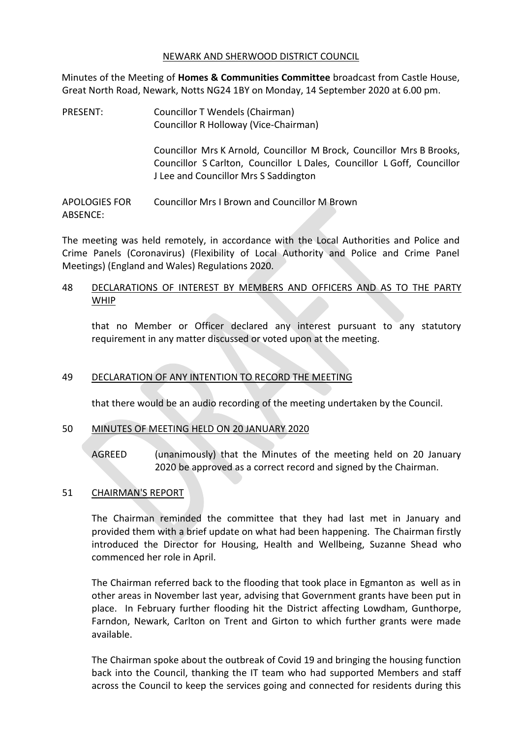#### NEWARK AND SHERWOOD DISTRICT COUNCIL

Minutes of the Meeting of **Homes & Communities Committee** broadcast from Castle House, Great North Road, Newark, Notts NG24 1BY on Monday, 14 September 2020 at 6.00 pm.

PRESENT: Councillor T Wendels (Chairman) Councillor R Holloway (Vice-Chairman)

> Councillor Mrs K Arnold, Councillor M Brock, Councillor Mrs B Brooks, Councillor S Carlton, Councillor L Dales, Councillor L Goff, Councillor J Lee and Councillor Mrs S Saddington

APOLOGIES FOR ABSENCE: Councillor Mrs I Brown and Councillor M Brown

The meeting was held remotely, in accordance with the Local Authorities and Police and Crime Panels (Coronavirus) (Flexibility of Local Authority and Police and Crime Panel Meetings) (England and Wales) Regulations 2020.

# 48 DECLARATIONS OF INTEREST BY MEMBERS AND OFFICERS AND AS TO THE PARTY WHIP

that no Member or Officer declared any interest pursuant to any statutory requirement in any matter discussed or voted upon at the meeting.

# 49 DECLARATION OF ANY INTENTION TO RECORD THE MEETING

that there would be an audio recording of the meeting undertaken by the Council.

# 50 MINUTES OF MEETING HELD ON 20 JANUARY 2020

AGREED (unanimously) that the Minutes of the meeting held on 20 January 2020 be approved as a correct record and signed by the Chairman.

### 51 CHAIRMAN'S REPORT

The Chairman reminded the committee that they had last met in January and provided them with a brief update on what had been happening. The Chairman firstly introduced the Director for Housing, Health and Wellbeing, Suzanne Shead who commenced her role in April.

The Chairman referred back to the flooding that took place in Egmanton as well as in other areas in November last year, advising that Government grants have been put in place. In February further flooding hit the District affecting Lowdham, Gunthorpe, Farndon, Newark, Carlton on Trent and Girton to which further grants were made available.

The Chairman spoke about the outbreak of Covid 19 and bringing the housing function back into the Council, thanking the IT team who had supported Members and staff across the Council to keep the services going and connected for residents during this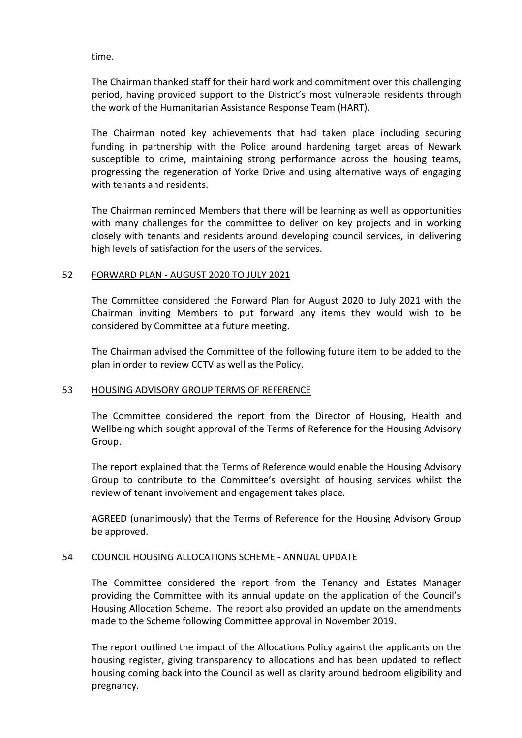time.

The Chairman thanked staff for their hard work and commitment over this challenging period, having provided support to the District's most vulnerable residents through the work of the Humanitarian Assistance Response Team (HART).

The Chairman noted key achievements that had taken place including securing funding in partnership with the Police around hardening target areas of Newark susceptible to crime, maintaining strong performance across the housing teams, progressing the regeneration of Yorke Drive and using alternative ways of engaging with tenants and residents.

The Chairman reminded Members that there will be learning as well as opportunities with many challenges for the committee to deliver on key projects and in working closely with tenants and residents around developing council services, in delivering high levels of satisfaction for the users of the services.

## 52 FORWARD PLAN - AUGUST 2020 TO JULY 2021

The Committee considered the Forward Plan for August 2020 to July 2021 with the Chairman inviting Members to put forward any items they would wish to be considered by Committee at a future meeting.

The Chairman advised the Committee of the following future item to be added to the plan in order to review CCTV as well as the Policy.

### 53 HOUSING ADVISORY GROUP TERMS OF REFERENCE

The Committee considered the report from the Director of Housing, Health and Wellbeing which sought approval of the Terms of Reference for the Housing Advisory Group.

The report explained that the Terms of Reference would enable the Housing Advisory Group to contribute to the Committee's oversight of housing services whilst the review of tenant involvement and engagement takes place.

AGREED (unanimously) that the Terms of Reference for the Housing Advisory Group be approved.

### 54 COUNCIL HOUSING ALLOCATIONS SCHEME - ANNUAL UPDATE

The Committee considered the report from the Tenancy and Estates Manager providing the Committee with its annual update on the application of the Council's Housing Allocation Scheme. The report also provided an update on the amendments made to the Scheme following Committee approval in November 2019.

The report outlined the impact of the Allocations Policy against the applicants on the housing register, giving transparency to allocations and has been updated to reflect housing coming back into the Council as well as clarity around bedroom eligibility and pregnancy.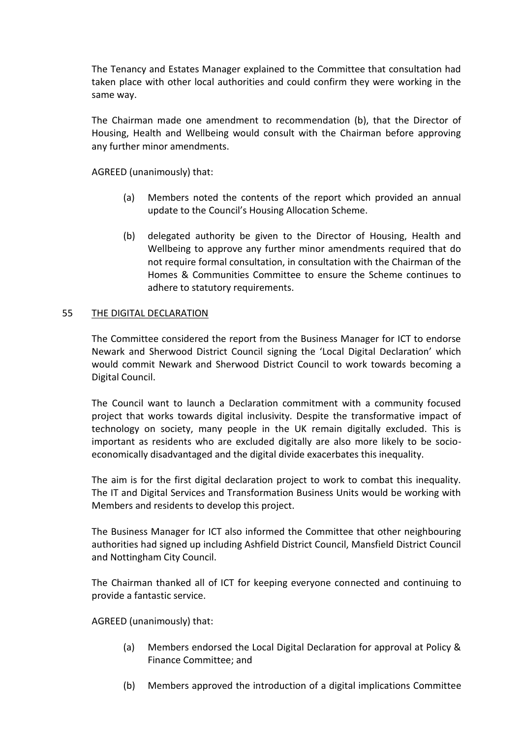The Tenancy and Estates Manager explained to the Committee that consultation had taken place with other local authorities and could confirm they were working in the same way.

The Chairman made one amendment to recommendation (b), that the Director of Housing, Health and Wellbeing would consult with the Chairman before approving any further minor amendments.

AGREED (unanimously) that:

- (a) Members noted the contents of the report which provided an annual update to the Council's Housing Allocation Scheme.
- (b) delegated authority be given to the Director of Housing, Health and Wellbeing to approve any further minor amendments required that do not require formal consultation, in consultation with the Chairman of the Homes & Communities Committee to ensure the Scheme continues to adhere to statutory requirements.

## 55 THE DIGITAL DECLARATION

The Committee considered the report from the Business Manager for ICT to endorse Newark and Sherwood District Council signing the 'Local Digital Declaration' which would commit Newark and Sherwood District Council to work towards becoming a Digital Council.

The Council want to launch a Declaration commitment with a community focused project that works towards digital inclusivity. Despite the transformative impact of technology on society, many people in the UK remain digitally excluded. This is important as residents who are excluded digitally are also more likely to be socioeconomically disadvantaged and the digital divide exacerbates this inequality.

The aim is for the first digital declaration project to work to combat this inequality. The IT and Digital Services and Transformation Business Units would be working with Members and residents to develop this project.

The Business Manager for ICT also informed the Committee that other neighbouring authorities had signed up including Ashfield District Council, Mansfield District Council and Nottingham City Council.

The Chairman thanked all of ICT for keeping everyone connected and continuing to provide a fantastic service.

- (a) Members endorsed the Local Digital Declaration for approval at Policy & Finance Committee; and
- (b) Members approved the introduction of a digital implications Committee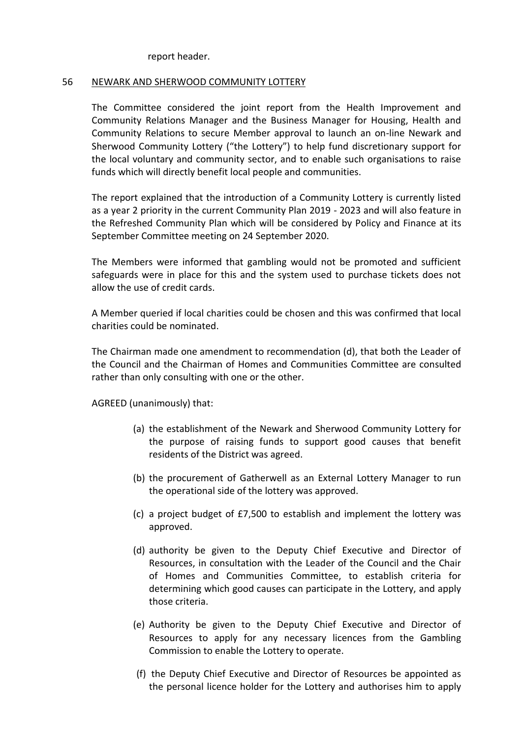#### report header.

# 56 NEWARK AND SHERWOOD COMMUNITY LOTTERY

The Committee considered the joint report from the Health Improvement and Community Relations Manager and the Business Manager for Housing, Health and Community Relations to secure Member approval to launch an on-line Newark and Sherwood Community Lottery ("the Lottery") to help fund discretionary support for the local voluntary and community sector, and to enable such organisations to raise funds which will directly benefit local people and communities.

The report explained that the introduction of a Community Lottery is currently listed as a year 2 priority in the current Community Plan 2019 - 2023 and will also feature in the Refreshed Community Plan which will be considered by Policy and Finance at its September Committee meeting on 24 September 2020.

The Members were informed that gambling would not be promoted and sufficient safeguards were in place for this and the system used to purchase tickets does not allow the use of credit cards.

A Member queried if local charities could be chosen and this was confirmed that local charities could be nominated.

The Chairman made one amendment to recommendation (d), that both the Leader of the Council and the Chairman of Homes and Communities Committee are consulted rather than only consulting with one or the other.

- (a) the establishment of the Newark and Sherwood Community Lottery for the purpose of raising funds to support good causes that benefit residents of the District was agreed.
- (b) the procurement of Gatherwell as an External Lottery Manager to run the operational side of the lottery was approved.
- (c) a project budget of £7,500 to establish and implement the lottery was approved.
- (d) authority be given to the Deputy Chief Executive and Director of Resources, in consultation with the Leader of the Council and the Chair of Homes and Communities Committee, to establish criteria for determining which good causes can participate in the Lottery, and apply those criteria.
- (e) Authority be given to the Deputy Chief Executive and Director of Resources to apply for any necessary licences from the Gambling Commission to enable the Lottery to operate.
- (f) the Deputy Chief Executive and Director of Resources be appointed as the personal licence holder for the Lottery and authorises him to apply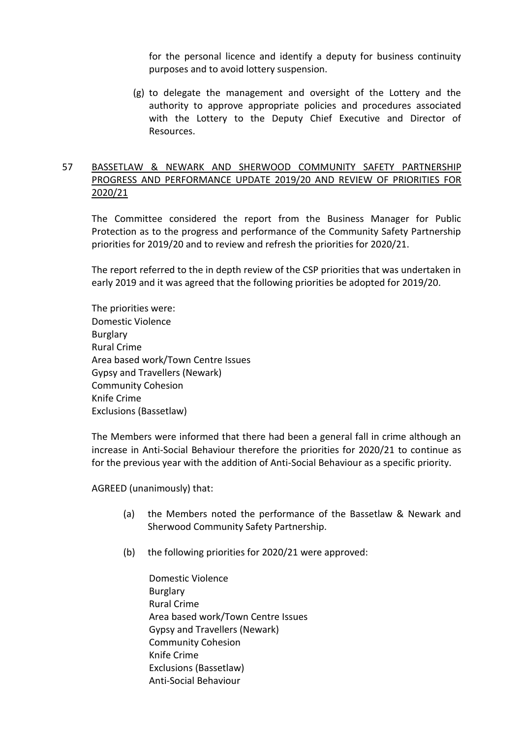for the personal licence and identify a deputy for business continuity purposes and to avoid lottery suspension.

(g) to delegate the management and oversight of the Lottery and the authority to approve appropriate policies and procedures associated with the Lottery to the Deputy Chief Executive and Director of Resources.

# 57 BASSETLAW & NEWARK AND SHERWOOD COMMUNITY SAFETY PARTNERSHIP PROGRESS AND PERFORMANCE UPDATE 2019/20 AND REVIEW OF PRIORITIES FOR 2020/21

The Committee considered the report from the Business Manager for Public Protection as to the progress and performance of the Community Safety Partnership priorities for 2019/20 and to review and refresh the priorities for 2020/21.

The report referred to the in depth review of the CSP priorities that was undertaken in early 2019 and it was agreed that the following priorities be adopted for 2019/20.

The priorities were: Domestic Violence Burglary Rural Crime Area based work/Town Centre Issues Gypsy and Travellers (Newark) Community Cohesion Knife Crime Exclusions (Bassetlaw)

The Members were informed that there had been a general fall in crime although an increase in Anti-Social Behaviour therefore the priorities for 2020/21 to continue as for the previous year with the addition of Anti-Social Behaviour as a specific priority.

- (a) the Members noted the performance of the Bassetlaw & Newark and Sherwood Community Safety Partnership.
- (b) the following priorities for 2020/21 were approved:
	- Domestic Violence Burglary Rural Crime Area based work/Town Centre Issues Gypsy and Travellers (Newark) Community Cohesion Knife Crime Exclusions (Bassetlaw) Anti-Social Behaviour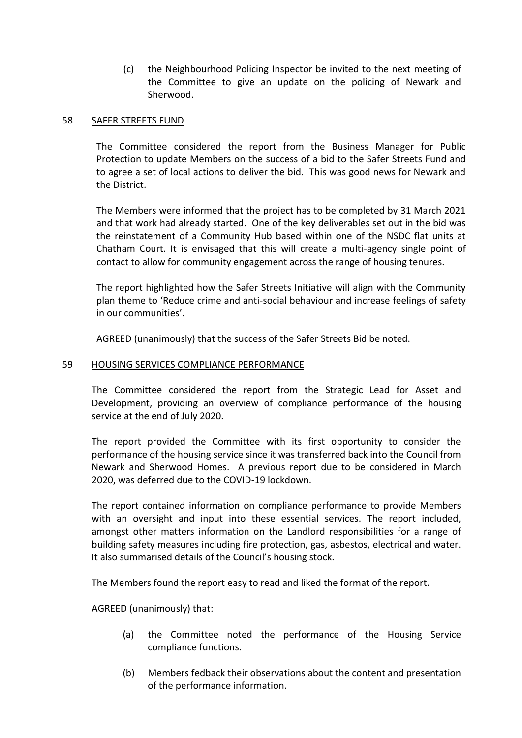(c) the Neighbourhood Policing Inspector be invited to the next meeting of the Committee to give an update on the policing of Newark and Sherwood.

### 58 SAFER STREETS FUND

The Committee considered the report from the Business Manager for Public Protection to update Members on the success of a bid to the Safer Streets Fund and to agree a set of local actions to deliver the bid. This was good news for Newark and the District.

The Members were informed that the project has to be completed by 31 March 2021 and that work had already started. One of the key deliverables set out in the bid was the reinstatement of a Community Hub based within one of the NSDC flat units at Chatham Court. It is envisaged that this will create a multi-agency single point of contact to allow for community engagement across the range of housing tenures.

The report highlighted how the Safer Streets Initiative will align with the Community plan theme to 'Reduce crime and anti-social behaviour and increase feelings of safety in our communities'.

AGREED (unanimously) that the success of the Safer Streets Bid be noted.

#### 59 HOUSING SERVICES COMPLIANCE PERFORMANCE

The Committee considered the report from the Strategic Lead for Asset and Development, providing an overview of compliance performance of the housing service at the end of July 2020.

The report provided the Committee with its first opportunity to consider the performance of the housing service since it was transferred back into the Council from Newark and Sherwood Homes. A previous report due to be considered in March 2020, was deferred due to the COVID-19 lockdown.

The report contained information on compliance performance to provide Members with an oversight and input into these essential services. The report included, amongst other matters information on the Landlord responsibilities for a range of building safety measures including fire protection, gas, asbestos, electrical and water. It also summarised details of the Council's housing stock.

The Members found the report easy to read and liked the format of the report.

- (a) the Committee noted the performance of the Housing Service compliance functions.
- (b) Members fedback their observations about the content and presentation of the performance information.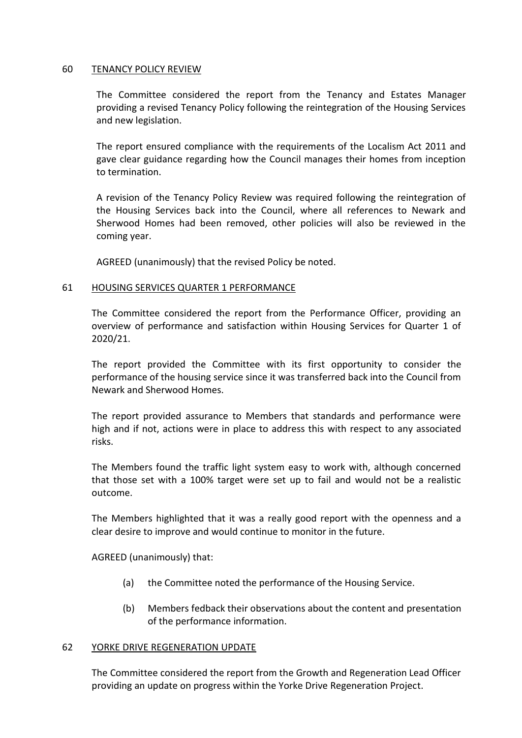#### 60 TENANCY POLICY REVIEW

The Committee considered the report from the Tenancy and Estates Manager providing a revised Tenancy Policy following the reintegration of the Housing Services and new legislation.

The report ensured compliance with the requirements of the Localism Act 2011 and gave clear guidance regarding how the Council manages their homes from inception to termination.

A revision of the Tenancy Policy Review was required following the reintegration of the Housing Services back into the Council, where all references to Newark and Sherwood Homes had been removed, other policies will also be reviewed in the coming year.

AGREED (unanimously) that the revised Policy be noted.

#### 61 HOUSING SERVICES QUARTER 1 PERFORMANCE

The Committee considered the report from the Performance Officer, providing an overview of performance and satisfaction within Housing Services for Quarter 1 of 2020/21.

The report provided the Committee with its first opportunity to consider the performance of the housing service since it was transferred back into the Council from Newark and Sherwood Homes.

The report provided assurance to Members that standards and performance were high and if not, actions were in place to address this with respect to any associated risks.

The Members found the traffic light system easy to work with, although concerned that those set with a 100% target were set up to fail and would not be a realistic outcome.

The Members highlighted that it was a really good report with the openness and a clear desire to improve and would continue to monitor in the future.

AGREED (unanimously) that:

- (a) the Committee noted the performance of the Housing Service.
- (b) Members fedback their observations about the content and presentation of the performance information.

#### 62 YORKE DRIVE REGENERATION UPDATE

The Committee considered the report from the Growth and Regeneration Lead Officer providing an update on progress within the Yorke Drive Regeneration Project.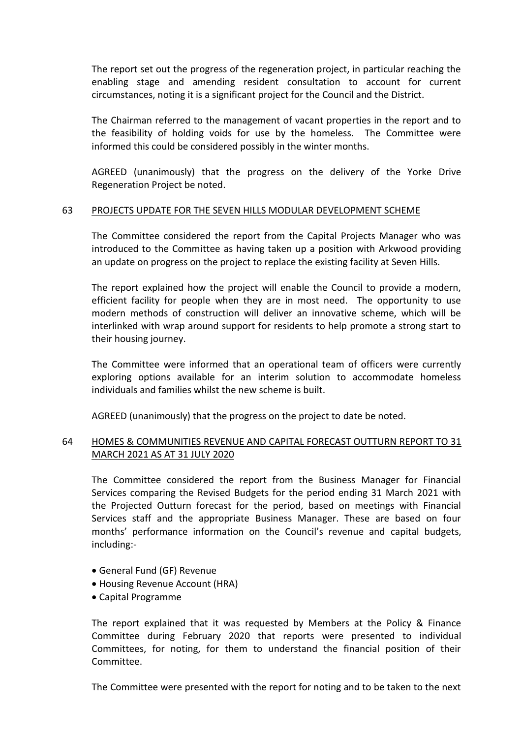The report set out the progress of the regeneration project, in particular reaching the enabling stage and amending resident consultation to account for current circumstances, noting it is a significant project for the Council and the District.

The Chairman referred to the management of vacant properties in the report and to the feasibility of holding voids for use by the homeless. The Committee were informed this could be considered possibly in the winter months.

AGREED (unanimously) that the progress on the delivery of the Yorke Drive Regeneration Project be noted.

## 63 PROJECTS UPDATE FOR THE SEVEN HILLS MODULAR DEVELOPMENT SCHEME

The Committee considered the report from the Capital Projects Manager who was introduced to the Committee as having taken up a position with Arkwood providing an update on progress on the project to replace the existing facility at Seven Hills.

The report explained how the project will enable the Council to provide a modern, efficient facility for people when they are in most need. The opportunity to use modern methods of construction will deliver an innovative scheme, which will be interlinked with wrap around support for residents to help promote a strong start to their housing journey.

The Committee were informed that an operational team of officers were currently exploring options available for an interim solution to accommodate homeless individuals and families whilst the new scheme is built.

AGREED (unanimously) that the progress on the project to date be noted.

# 64 HOMES & COMMUNITIES REVENUE AND CAPITAL FORECAST OUTTURN REPORT TO 31 MARCH 2021 AS AT 31 JULY 2020

The Committee considered the report from the Business Manager for Financial Services comparing the Revised Budgets for the period ending 31 March 2021 with the Projected Outturn forecast for the period, based on meetings with Financial Services staff and the appropriate Business Manager. These are based on four months' performance information on the Council's revenue and capital budgets, including:-

- General Fund (GF) Revenue
- Housing Revenue Account (HRA)
- Capital Programme

The report explained that it was requested by Members at the Policy & Finance Committee during February 2020 that reports were presented to individual Committees, for noting, for them to understand the financial position of their Committee.

The Committee were presented with the report for noting and to be taken to the next